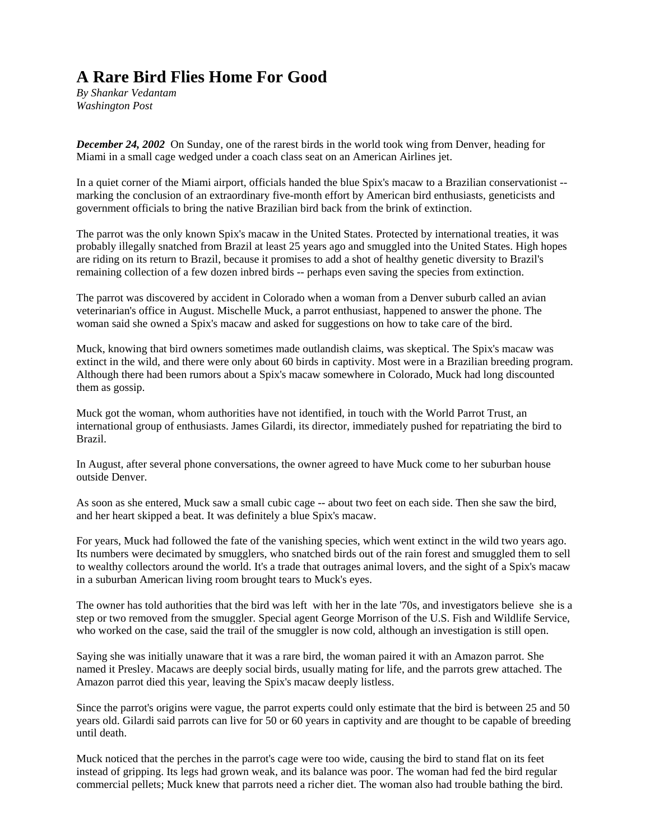## **A Rare Bird Flies Home For Good**

*By Shankar Vedantam Washington Post* 

*December 24, 2002* On Sunday, one of the rarest birds in the world took wing from Denver, heading for Miami in a small cage wedged under a coach class seat on an American Airlines jet.

In a quiet corner of the Miami airport, officials handed the blue Spix's macaw to a Brazilian conservationist - marking the conclusion of an extraordinary five-month effort by American bird enthusiasts, geneticists and government officials to bring the native Brazilian bird back from the brink of extinction.

The parrot was the only known Spix's macaw in the United States. Protected by international treaties, it was probably illegally snatched from Brazil at least 25 years ago and smuggled into the United States. High hopes are riding on its return to Brazil, because it promises to add a shot of healthy genetic diversity to Brazil's remaining collection of a few dozen inbred birds -- perhaps even saving the species from extinction.

The parrot was discovered by accident in Colorado when a woman from a Denver suburb called an avian veterinarian's office in August. Mischelle Muck, a parrot enthusiast, happened to answer the phone. The woman said she owned a Spix's macaw and asked for suggestions on how to take care of the bird.

Muck, knowing that bird owners sometimes made outlandish claims, was skeptical. The Spix's macaw was extinct in the wild, and there were only about 60 birds in captivity. Most were in a Brazilian breeding program. Although there had been rumors about a Spix's macaw somewhere in Colorado, Muck had long discounted them as gossip.

Muck got the woman, whom authorities have not identified, in touch with the World Parrot Trust, an international group of enthusiasts. James Gilardi, its director, immediately pushed for repatriating the bird to Brazil.

In August, after several phone conversations, the owner agreed to have Muck come to her suburban house outside Denver.

As soon as she entered, Muck saw a small cubic cage -- about two feet on each side. Then she saw the bird, and her heart skipped a beat. It was definitely a blue Spix's macaw.

For years, Muck had followed the fate of the vanishing species, which went extinct in the wild two years ago. Its numbers were decimated by smugglers, who snatched birds out of the rain forest and smuggled them to sell to wealthy collectors around the world. It's a trade that outrages animal lovers, and the sight of a Spix's macaw in a suburban American living room brought tears to Muck's eyes.

The owner has told authorities that the bird was left with her in the late '70s, and investigators believe she is a step or two removed from the smuggler. Special agent George Morrison of the U.S. Fish and Wildlife Service, who worked on the case, said the trail of the smuggler is now cold, although an investigation is still open.

Saying she was initially unaware that it was a rare bird, the woman paired it with an Amazon parrot. She named it Presley. Macaws are deeply social birds, usually mating for life, and the parrots grew attached. The Amazon parrot died this year, leaving the Spix's macaw deeply listless.

Since the parrot's origins were vague, the parrot experts could only estimate that the bird is between 25 and 50 years old. Gilardi said parrots can live for 50 or 60 years in captivity and are thought to be capable of breeding until death.

Muck noticed that the perches in the parrot's cage were too wide, causing the bird to stand flat on its feet instead of gripping. Its legs had grown weak, and its balance was poor. The woman had fed the bird regular commercial pellets; Muck knew that parrots need a richer diet. The woman also had trouble bathing the bird.